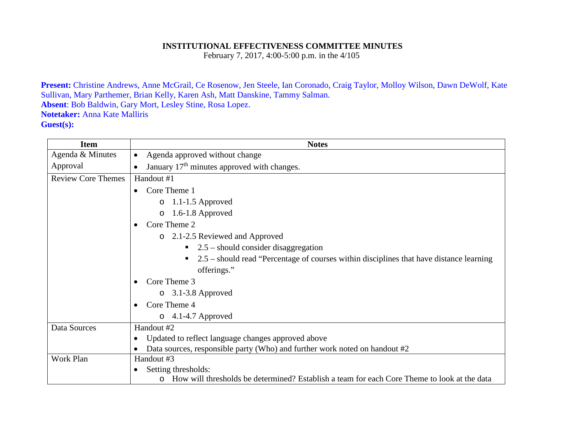## **INSTITUTIONAL EFFECTIVENESS COMMITTEE MINUTES**

February 7, 2017, 4:00-5:00 p.m. in the 4/105

**Present:** Christine Andrews, Anne McGrail, Ce Rosenow, Jen Steele, Ian Coronado, Craig Taylor, Molloy Wilson, Dawn DeWolf, Kate Sullivan, Mary Parthemer, Brian Kelly, Karen Ash, Matt Danskine, Tammy Salman. **Absent**: Bob Baldwin, Gary Mort, Lesley Stine, Rosa Lopez. **Notetaker:** Anna Kate Malliris **Guest(s):**

| <b>Item</b>               | <b>Notes</b>                                                                                           |
|---------------------------|--------------------------------------------------------------------------------------------------------|
| Agenda & Minutes          | Agenda approved without change<br>$\bullet$                                                            |
| Approval                  | January 17 <sup>th</sup> minutes approved with changes.<br>$\bullet$                                   |
| <b>Review Core Themes</b> | Handout #1                                                                                             |
|                           | Core Theme 1<br>$\bullet$                                                                              |
|                           | 1.1-1.5 Approved<br>$\circ$                                                                            |
|                           | $1.6-1.8$ Approved<br>$\circ$                                                                          |
|                           | Core Theme 2<br>$\bullet$                                                                              |
|                           | 2.1-2.5 Reviewed and Approved<br>$\circ$                                                               |
|                           | $\blacksquare$ 2.5 – should consider disaggregation                                                    |
|                           | 2.5 – should read "Percentage of courses within disciplines that have distance learning                |
|                           | offerings."                                                                                            |
|                           | Core Theme 3                                                                                           |
|                           | 3.1-3.8 Approved<br>$\circ$                                                                            |
|                           | Core Theme 4<br>$\bullet$                                                                              |
|                           | $\circ$ 4.1-4.7 Approved                                                                               |
| Data Sources              | Handout #2                                                                                             |
|                           | Updated to reflect language changes approved above<br>$\bullet$                                        |
|                           | Data sources, responsible party (Who) and further work noted on handout #2                             |
| Work Plan                 | Handout #3                                                                                             |
|                           | Setting thresholds:<br>$\bullet$                                                                       |
|                           | How will thresholds be determined? Establish a team for each Core Theme to look at the data<br>$\circ$ |